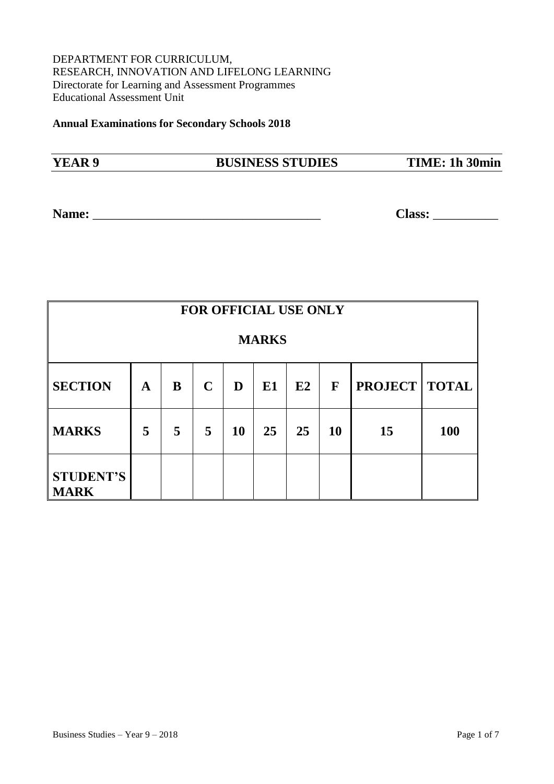### DEPARTMENT FOR CURRICULUM, RESEARCH, INNOVATION AND LIFELONG LEARNING Directorate for Learning and Assessment Programmes Educational Assessment Unit

**Annual Examinations for Secondary Schools 2018** 

| YEAR 9 | <b>BUSINESS STUDIES</b> | TIME: 1h 30min |
|--------|-------------------------|----------------|
|        |                         |                |

**Name:** \_\_\_\_\_\_\_\_\_\_\_\_\_\_\_\_\_\_\_\_\_\_\_\_\_\_\_\_\_\_\_\_\_\_\_ **Class:** \_\_\_\_\_\_\_\_\_\_

| <b>FOR OFFICIAL USE ONLY</b>    |             |   |             |           |    |    |             |                        |            |
|---------------------------------|-------------|---|-------------|-----------|----|----|-------------|------------------------|------------|
| <b>MARKS</b>                    |             |   |             |           |    |    |             |                        |            |
| <b>SECTION</b>                  | $\mathbf A$ | B | $\mathbf C$ | D         | E1 | E2 | $\mathbf F$ | <b>PROJECT   TOTAL</b> |            |
| <b>MARKS</b>                    | 5           | 5 | 5           | <b>10</b> | 25 | 25 | <b>10</b>   | 15                     | <b>100</b> |
| <b>STUDENT'S</b><br><b>MARK</b> |             |   |             |           |    |    |             |                        |            |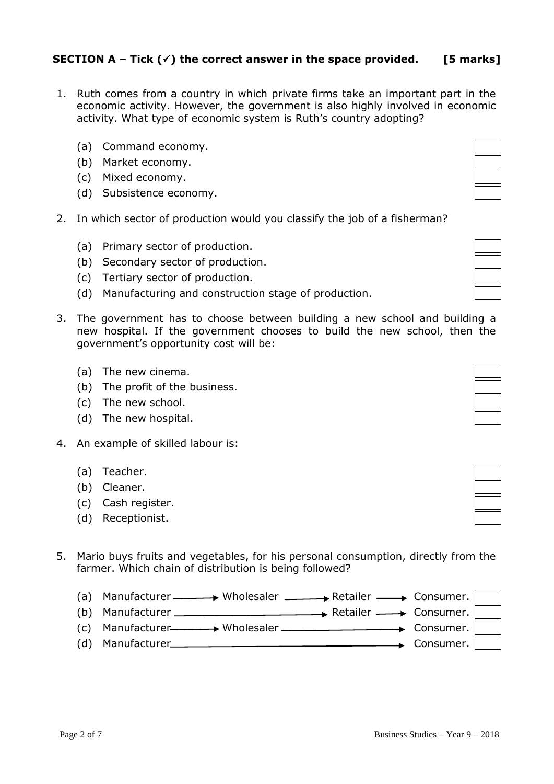## **SECTION A** – Tick  $(\check{\mathbf{v}})$  the correct answer in the space provided. [5 marks]

- 1. Ruth comes from a country in which private firms take an important part in the economic activity. However, the government is also highly involved in economic activity. What type of economic system is Ruth's country adopting?
	- (a) Command economy.
	- (b) Market economy.
	- (c) Mixed economy.
	- (d) Subsistence economy.
- 2. In which sector of production would you classify the job of a fisherman?
	- (a) Primary sector of production.
	- (b) Secondary sector of production.
	- (c) Tertiary sector of production.
	- (d) Manufacturing and construction stage of production.
- 3. The government has to choose between building a new school and buildir new hospital. If the government chooses to build the new school, then government's opportunity cost will be:
	- (a) The new cinema.
	- (b) The profit of the business.
	- (c) The new school.
	- (d) The new hospital.
- 4. An example of skilled labour is:
	- (a) Teacher.
	- (b) Cleaner.
	- (c) Cash register.
	- (d) Receptionist.
- 5. Mario buys fruits and vegetables, for his personal consumption, directly from the farmer. Which chain of distribution is being followed?
	- (a) Manufacturer  $\longrightarrow$  Wholesaler  $\longrightarrow$  Retailer  $\longrightarrow$  Consumer. (b) Manufacturer  $\qquad \qquad \longrightarrow$  Retailer  $\longrightarrow$  Consumer.  $(c)$  Manufacturer  $\longrightarrow$  Wholesaler  $\longrightarrow$  Consumer.
	- (d) Manufacturer Consumer.

| a<br>q<br>n |  |
|-------------|--|
| the         |  |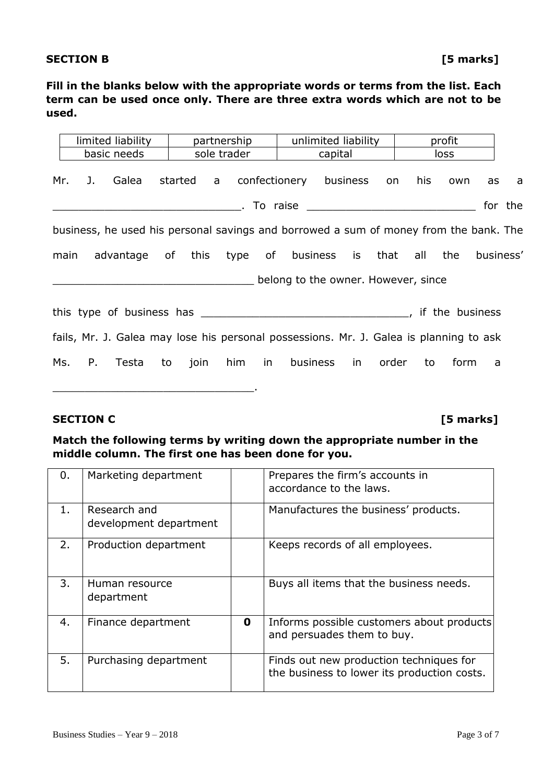## **SECTION B** [5 marks]

**Fill in the blanks below with the appropriate words or terms from the list. Each term can be used once only. There are three extra words which are not to be used.**

|      |        | limited liability                                                                      |  | partnership                         |                 |                                     | unlimited liability |  |       |     | profit |    |           |
|------|--------|----------------------------------------------------------------------------------------|--|-------------------------------------|-----------------|-------------------------------------|---------------------|--|-------|-----|--------|----|-----------|
|      |        | basic needs                                                                            |  | sole trader                         | capital<br>loss |                                     |                     |  |       |     |        |    |           |
| Mr.  | J.     | Galea                                                                                  |  | started a confectionery business on |                 |                                     |                     |  |       | his | own    | as | a a       |
|      |        |                                                                                        |  |                                     |                 |                                     |                     |  |       |     |        |    | for the   |
|      |        | business, he used his personal savings and borrowed a sum of money from the bank. The  |  |                                     |                 |                                     |                     |  |       |     |        |    |           |
| main |        | advantage of this type of business is that all                                         |  |                                     |                 |                                     |                     |  |       |     | the    |    | business' |
|      |        |                                                                                        |  |                                     |                 | belong to the owner. However, since |                     |  |       |     |        |    |           |
|      |        |                                                                                        |  |                                     |                 |                                     |                     |  |       |     |        |    |           |
|      |        | fails, Mr. J. Galea may lose his personal possessions. Mr. J. Galea is planning to ask |  |                                     |                 |                                     |                     |  |       |     |        |    |           |
|      | Ms. P. | Testa to join him in                                                                   |  |                                     |                 |                                     | business in         |  | order | to  | form   | a  |           |

#### **SECTION C [5 marks]**

\_\_\_\_\_\_\_\_\_\_\_\_\_\_\_\_\_\_\_\_\_\_\_\_\_\_\_\_\_\_\_.

### **Match the following terms by writing down the appropriate number in the middle column. The first one has been done for you.**

| 0.    | Marketing department                   |             | Prepares the firm's accounts in<br>accordance to the laws.                             |
|-------|----------------------------------------|-------------|----------------------------------------------------------------------------------------|
| $1$ . | Research and<br>development department |             | Manufactures the business' products.                                                   |
| 2.    | Production department                  |             | Keeps records of all employees.                                                        |
| 3.    | Human resource<br>department           |             | Buys all items that the business needs.                                                |
| 4.    | Finance department                     | $\mathbf 0$ | Informs possible customers about products<br>and persuades them to buy.                |
| 5.    | Purchasing department                  |             | Finds out new production techniques for<br>the business to lower its production costs. |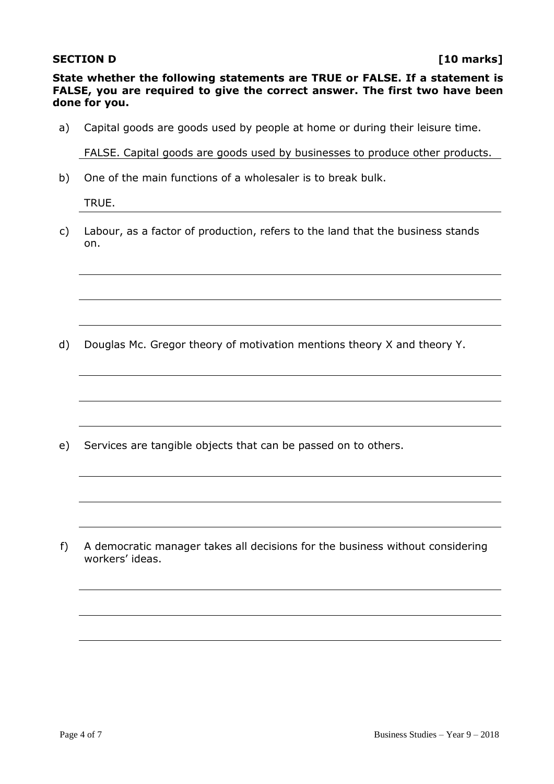#### **SECTION D** [10 marks]

**State whether the following statements are TRUE or FALSE. If a statement is FALSE, you are required to give the correct answer. The first two have been done for you.** 

a) Capital goods are goods used by people at home or during their leisure time.

FALSE. Capital goods are goods used by businesses to produce other products.

b) One of the main functions of a wholesaler is to break bulk.

TRUE.

c) Labour, as a factor of production, refers to the land that the business stands on.

d) Douglas Mc. Gregor theory of motivation mentions theory X and theory Y.

e) Services are tangible objects that can be passed on to others.

f) A democratic manager takes all decisions for the business without considering workers' ideas.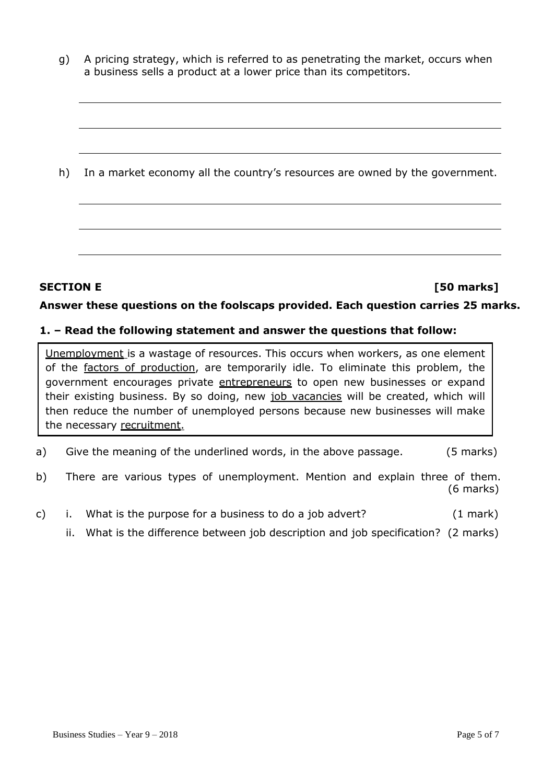g) A pricing strategy, which is referred to as penetrating the market, occurs when a business sells a product at a lower price than its competitors.

h) In a market economy all the country's resources are owned by the government.

## **SECTION E** [50 marks]

### **Answer these questions on the foolscaps provided. Each question carries 25 marks.**

#### **1. – Read the following statement and answer the questions that follow:**

Unemployment is a wastage of resources. This occurs when workers, as one element of the factors of production, are temporarily idle. To eliminate this problem, the government encourages private entrepreneurs to open new businesses or expand their existing business. By so doing, new job vacancies will be created, which will then reduce the number of unemployed persons because new businesses will make the necessary recruitment.

- a) Give the meaning of the underlined words, in the above passage. (5 marks)
- b) There are various types of unemployment. Mention and explain three of them. (6 marks)
- c) i. What is the purpose for a business to do a job advert? (1 mark)
	- ii. What is the difference between job description and job specification? (2 marks)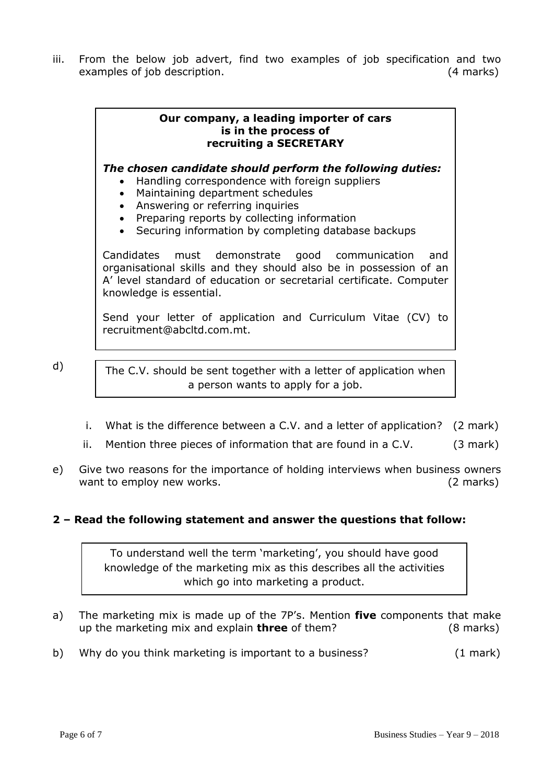iii. From the below job advert, find two examples of job specification and two examples of job description. (4 marks)

#### **Our company, a leading importer of cars is in the process of recruiting a SECRETARY**

*The chosen candidate should perform the following duties:*

- Handling correspondence with foreign suppliers
- Maintaining department schedules
- Answering or referring inquiries
- Preparing reports by collecting information
- Securing information by completing database backups

Candidates must demonstrate good communication and organisational skills and they should also be in possession of an A' level standard of education or secretarial certificate. Computer knowledge is essential.

Send your letter of application and Curriculum Vitae (CV) to recruitment@abcltd.com.mt.

d)

The C.V. should be sent together with a letter of application when a person wants to apply for a job.

- i. What is the difference between a C.V. and a letter of application? (2 mark)
- ii. Mention three pieces of information that are found in a  $C.V.$  (3 mark)
- e) Give two reasons for the importance of holding interviews when business owners want to employ new works. (2 marks)

## **2 – Read the following statement and answer the questions that follow:**

To understand well the term 'marketing', you should have good knowledge of the marketing mix as this describes all the activities which go into marketing a product.

- a) The marketing mix is made up of the 7P's. Mention **five** components that make up the marketing mix and explain **three** of them? (8 marks)
- b) Why do you think marketing is important to a business? (1 mark)